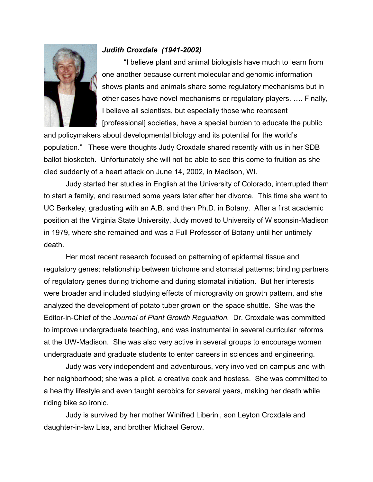

## *Judith Croxdale (1941-2002)*

 "I believe plant and animal biologists have much to learn from one another because current molecular and genomic information shows plants and animals share some regulatory mechanisms but in other cases have novel mechanisms or regulatory players. …. Finally, I believe all scientists, but especially those who represent [professional] societies, have a special burden to educate the public

and policymakers about developmental biology and its potential for the world's population." These were thoughts Judy Croxdale shared recently with us in her SDB ballot biosketch. Unfortunately she will not be able to see this come to fruition as she died suddenly of a heart attack on June 14, 2002, in Madison, WI.

 Judy started her studies in English at the University of Colorado, interrupted them to start a family, and resumed some years later after her divorce. This time she went to UC Berkeley, graduating with an A.B. and then Ph.D. in Botany. After a first academic position at the Virginia State University, Judy moved to University of Wisconsin-Madison in 1979, where she remained and was a Full Professor of Botany until her untimely death.

 Her most recent research focused on patterning of epidermal tissue and regulatory genes; relationship between trichome and stomatal patterns; binding partners of regulatory genes during trichome and during stomatal initiation. But her interests were broader and included studying effects of microgravity on growth pattern, and she analyzed the development of potato tuber grown on the space shuttle. She was the Editor-in-Chief of the *Journal of Plant Growth Regulation.* Dr. Croxdale was committed to improve undergraduate teaching, and was instrumental in several curricular reforms at the UW-Madison. She was also very active in several groups to encourage women undergraduate and graduate students to enter careers in sciences and engineering.

 Judy was very independent and adventurous, very involved on campus and with her neighborhood; she was a pilot, a creative cook and hostess. She was committed to a healthy lifestyle and even taught aerobics for several years, making her death while riding bike so ironic.

Judy is survived by her mother Winifred Liberini, son Leyton Croxdale and daughter-in-law Lisa, and brother Michael Gerow.